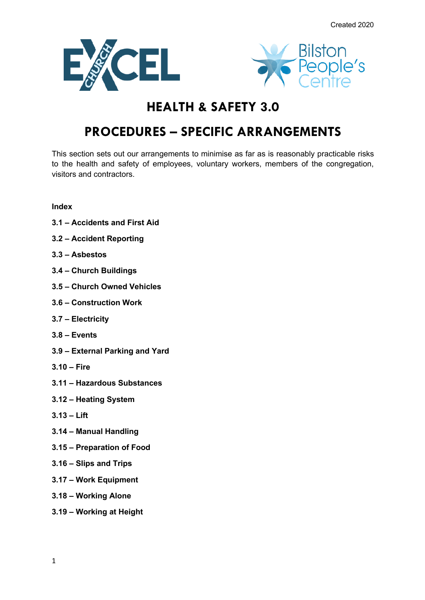



# **HEALTH & SAFETY 3.0**

# **PROCEDURES – SPECIFIC ARRANGEMENTS**

This section sets out our arrangements to minimise as far as is reasonably practicable risks to the health and safety of employees, voluntary workers, members of the congregation, visitors and contractors.

# **Index**

- **3.1 – Accidents and First Aid**
- **3.2 – Accident Reporting**
- **3.3 – Asbestos**
- **3.4 – Church Buildings**
- **3.5 – Church Owned Vehicles**
- **3.6 – Construction Work**
- **3.7 – Electricity**
- **3.8 – Events**
- **3.9 – External Parking and Yard**
- **3.10 – Fire**
- **3.11 – Hazardous Substances**
- **3.12 – Heating System**
- **3.13 – Lift**
- **3.14 – Manual Handling**
- **3.15 – Preparation of Food**
- **3.16 – Slips and Trips**
- **3.17 – Work Equipment**
- **3.18 – Working Alone**
- **3.19 – Working at Height**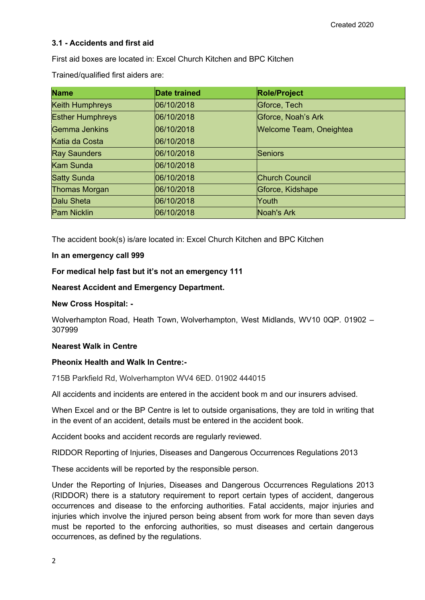## **3.1 - Accidents and first aid**

First aid boxes are located in: Excel Church Kitchen and BPC Kitchen

Trained/qualified first aiders are:

| <b>Name</b>             | <b>Date trained</b> | <b>Role/Project</b>            |
|-------------------------|---------------------|--------------------------------|
| Keith Humphreys         | 06/10/2018          | Gforce, Tech                   |
| <b>Esther Humphreys</b> | 06/10/2018          | Gforce, Noah's Ark             |
| <b>Gemma Jenkins</b>    | 06/10/2018          | <b>Welcome Team, Oneightea</b> |
| Katia da Costa          | 06/10/2018          |                                |
| <b>Ray Saunders</b>     | 06/10/2018          | Seniors                        |
| <b>Kam Sunda</b>        | 06/10/2018          |                                |
| <b>Satty Sunda</b>      | 06/10/2018          | <b>Church Council</b>          |
| <b>Thomas Morgan</b>    | 06/10/2018          | Gforce, Kidshape               |
| Dalu Sheta              | 06/10/2018          | Youth                          |
| <b>Pam Nicklin</b>      | 06/10/2018          | Noah's Ark                     |

The accident book(s) is/are located in: Excel Church Kitchen and BPC Kitchen

#### **In an emergency call 999**

#### **For medical help fast but it's not an emergency 111**

#### **Nearest Accident and Emergency Department.**

#### **New Cross Hospital: -**

Wolverhampton Road, Heath Town, Wolverhampton, West Midlands, WV10 0QP. 01902 – 307999

#### **Nearest Walk in Centre**

## **Pheonix Health and Walk In Centre:-**

715B Parkfield Rd, Wolverhampton WV4 6ED. 01902 444015

All accidents and incidents are entered in the accident book m and our insurers advised.

When Excel and or the BP Centre is let to outside organisations, they are told in writing that in the event of an accident, details must be entered in the accident book.

Accident books and accident records are regularly reviewed.

RIDDOR Reporting of Injuries, Diseases and Dangerous Occurrences Regulations 2013

These accidents will be reported by the responsible person.

Under the Reporting of Injuries, Diseases and Dangerous Occurrences Regulations 2013 (RIDDOR) there is a statutory requirement to report certain types of accident, dangerous occurrences and disease to the enforcing authorities. Fatal accidents, major injuries and injuries which involve the injured person being absent from work for more than seven days must be reported to the enforcing authorities, so must diseases and certain dangerous occurrences, as defined by the regulations.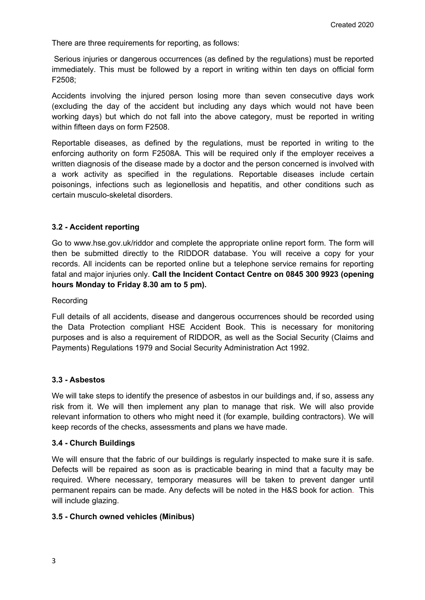There are three requirements for reporting, as follows:

Serious injuries or dangerous occurrences (as defined by the regulations) must be reported immediately. This must be followed by a report in writing within ten days on official form F2508;

Accidents involving the injured person losing more than seven consecutive days work (excluding the day of the accident but including any days which would not have been working days) but which do not fall into the above category, must be reported in writing within fifteen days on form F2508.

Reportable diseases, as defined by the regulations, must be reported in writing to the enforcing authority on form F2508A. This will be required only if the employer receives a written diagnosis of the disease made by a doctor and the person concerned is involved with a work activity as specified in the regulations. Reportable diseases include certain poisonings, infections such as legionellosis and hepatitis, and other conditions such as certain musculo-skeletal disorders.

## **3.2 - Accident reporting**

Go to www.hse.gov.uk/riddor and complete the appropriate online report form. The form will then be submitted directly to the RIDDOR database. You will receive a copy for your records. All incidents can be reported online but a telephone service remains for reporting fatal and major injuries only. **Call the Incident Contact Centre on 0845 300 9923 (opening hours Monday to Friday 8.30 am to 5 pm).**

#### Recording

Full details of all accidents, disease and dangerous occurrences should be recorded using the Data Protection compliant HSE Accident Book. This is necessary for monitoring purposes and is also a requirement of RIDDOR, as well as the Social Security (Claims and Payments) Regulations 1979 and Social Security Administration Act 1992.

## **3.3 - Asbestos**

We will take steps to identify the presence of asbestos in our buildings and, if so, assess any risk from it. We will then implement any plan to manage that risk. We will also provide relevant information to others who might need it (for example, building contractors). We will keep records of the checks, assessments and plans we have made.

## **3.4 - Church Buildings**

We will ensure that the fabric of our buildings is regularly inspected to make sure it is safe. Defects will be repaired as soon as is practicable bearing in mind that a faculty may be required. Where necessary, temporary measures will be taken to prevent danger until permanent repairs can be made. Any defects will be noted in the H&S book for action. This will include glazing.

## **3.5 - Church owned vehicles (Minibus)**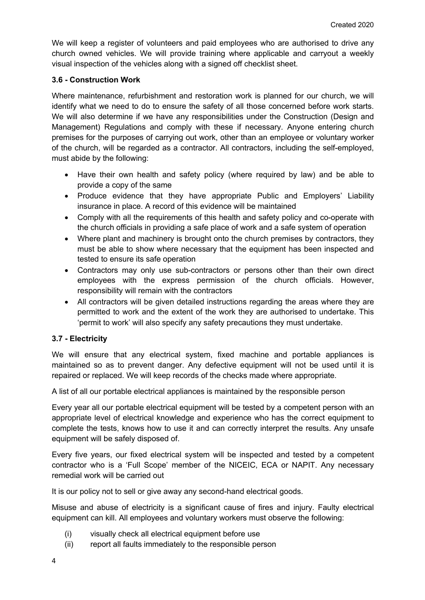We will keep a register of volunteers and paid employees who are authorised to drive any church owned vehicles. We will provide training where applicable and carryout a weekly visual inspection of the vehicles along with a signed off checklist sheet.

## **3.6 - Construction Work**

Where maintenance, refurbishment and restoration work is planned for our church, we will identify what we need to do to ensure the safety of all those concerned before work starts. We will also determine if we have any responsibilities under the Construction (Design and Management) Regulations and comply with these if necessary. Anyone entering church premises for the purposes of carrying out work, other than an employee or voluntary worker of the church, will be regarded as a contractor. All contractors, including the self-employed, must abide by the following:

- Have their own health and safety policy (where required by law) and be able to provide a copy of the same
- Produce evidence that they have appropriate Public and Employers' Liability insurance in place. A record of this evidence will be maintained
- Comply with all the requirements of this health and safety policy and co-operate with the church officials in providing a safe place of work and a safe system of operation
- Where plant and machinery is brought onto the church premises by contractors, they must be able to show where necessary that the equipment has been inspected and tested to ensure its safe operation
- Contractors may only use sub-contractors or persons other than their own direct employees with the express permission of the church officials. However, responsibility will remain with the contractors
- All contractors will be given detailed instructions regarding the areas where they are permitted to work and the extent of the work they are authorised to undertake. This 'permit to work' will also specify any safety precautions they must undertake.

# **3.7 - Electricity**

We will ensure that any electrical system, fixed machine and portable appliances is maintained so as to prevent danger. Any defective equipment will not be used until it is repaired or replaced. We will keep records of the checks made where appropriate.

A list of all our portable electrical appliances is maintained by the responsible person

Every year all our portable electrical equipment will be tested by a competent person with an appropriate level of electrical knowledge and experience who has the correct equipment to complete the tests, knows how to use it and can correctly interpret the results. Any unsafe equipment will be safely disposed of.

Every five years, our fixed electrical system will be inspected and tested by a competent contractor who is a 'Full Scope' member of the NICEIC, ECA or NAPIT. Any necessary remedial work will be carried out

It is our policy not to sell or give away any second-hand electrical goods.

Misuse and abuse of electricity is a significant cause of fires and injury. Faulty electrical equipment can kill. All employees and voluntary workers must observe the following:

- (i) visually check all electrical equipment before use
- (ii) report all faults immediately to the responsible person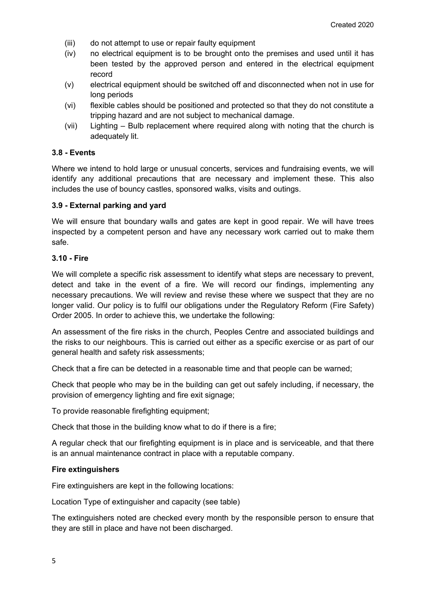- (iii) do not attempt to use or repair faulty equipment
- (iv) no electrical equipment is to be brought onto the premises and used until it has been tested by the approved person and entered in the electrical equipment record
- (v) electrical equipment should be switched off and disconnected when not in use for long periods
- (vi) flexible cables should be positioned and protected so that they do not constitute a tripping hazard and are not subject to mechanical damage.
- (vii) Lighting Bulb replacement where required along with noting that the church is adequately lit.

#### **3.8 - Events**

Where we intend to hold large or unusual concerts, services and fundraising events, we will identify any additional precautions that are necessary and implement these. This also includes the use of bouncy castles, sponsored walks, visits and outings.

#### **3.9 - External parking and yard**

We will ensure that boundary walls and gates are kept in good repair. We will have trees inspected by a competent person and have any necessary work carried out to make them safe.

#### **3.10 - Fire**

We will complete a specific risk assessment to identify what steps are necessary to prevent, detect and take in the event of a fire. We will record our findings, implementing any necessary precautions. We will review and revise these where we suspect that they are no longer valid. Our policy is to fulfil our obligations under the Regulatory Reform (Fire Safety) Order 2005. In order to achieve this, we undertake the following:

An assessment of the fire risks in the church, Peoples Centre and associated buildings and the risks to our neighbours. This is carried out either as a specific exercise or as part of our general health and safety risk assessments;

Check that a fire can be detected in a reasonable time and that people can be warned;

Check that people who may be in the building can get out safely including, if necessary, the provision of emergency lighting and fire exit signage;

To provide reasonable firefighting equipment;

Check that those in the building know what to do if there is a fire;

A regular check that our firefighting equipment is in place and is serviceable, and that there is an annual maintenance contract in place with a reputable company.

#### **Fire extinguishers**

Fire extinguishers are kept in the following locations:

Location Type of extinguisher and capacity (see table)

The extinguishers noted are checked every month by the responsible person to ensure that they are still in place and have not been discharged.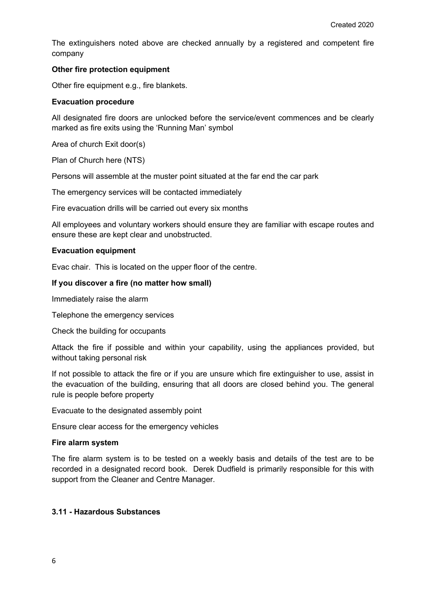The extinguishers noted above are checked annually by a registered and competent fire company

#### **Other fire protection equipment**

Other fire equipment e.g., fire blankets.

#### **Evacuation procedure**

All designated fire doors are unlocked before the service/event commences and be clearly marked as fire exits using the 'Running Man' symbol

Area of church Exit door(s)

Plan of Church here (NTS)

Persons will assemble at the muster point situated at the far end the car park

The emergency services will be contacted immediately

Fire evacuation drills will be carried out every six months

All employees and voluntary workers should ensure they are familiar with escape routes and ensure these are kept clear and unobstructed.

#### **Evacuation equipment**

Evac chair. This is located on the upper floor of the centre.

#### **If you discover a fire (no matter how small)**

Immediately raise the alarm

Telephone the emergency services

Check the building for occupants

Attack the fire if possible and within your capability, using the appliances provided, but without taking personal risk

If not possible to attack the fire or if you are unsure which fire extinguisher to use, assist in the evacuation of the building, ensuring that all doors are closed behind you. The general rule is people before property

Evacuate to the designated assembly point

Ensure clear access for the emergency vehicles

#### **Fire alarm system**

The fire alarm system is to be tested on a weekly basis and details of the test are to be recorded in a designated record book. Derek Dudfield is primarily responsible for this with support from the Cleaner and Centre Manager.

#### **3.11 - Hazardous Substances**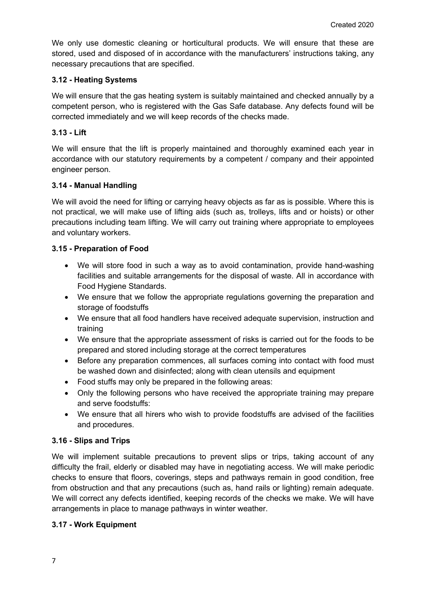We only use domestic cleaning or horticultural products. We will ensure that these are stored, used and disposed of in accordance with the manufacturers' instructions taking, any necessary precautions that are specified.

# **3.12 - Heating Systems**

We will ensure that the gas heating system is suitably maintained and checked annually by a competent person, who is registered with the Gas Safe database. Any defects found will be corrected immediately and we will keep records of the checks made.

# **3.13 - Lift**

We will ensure that the lift is properly maintained and thoroughly examined each year in accordance with our statutory requirements by a competent / company and their appointed engineer person.

# **3.14 - Manual Handling**

We will avoid the need for lifting or carrying heavy objects as far as is possible. Where this is not practical, we will make use of lifting aids (such as, trolleys, lifts and or hoists) or other precautions including team lifting. We will carry out training where appropriate to employees and voluntary workers.

# **3.15 - Preparation of Food**

- We will store food in such a way as to avoid contamination, provide hand-washing facilities and suitable arrangements for the disposal of waste. All in accordance with Food Hygiene Standards.
- We ensure that we follow the appropriate regulations governing the preparation and storage of foodstuffs
- We ensure that all food handlers have received adequate supervision, instruction and training
- We ensure that the appropriate assessment of risks is carried out for the foods to be prepared and stored including storage at the correct temperatures
- Before any preparation commences, all surfaces coming into contact with food must be washed down and disinfected; along with clean utensils and equipment
- Food stuffs may only be prepared in the following areas:
- Only the following persons who have received the appropriate training may prepare and serve foodstuffs:
- We ensure that all hirers who wish to provide foodstuffs are advised of the facilities and procedures.

# **3.16 - Slips and Trips**

We will implement suitable precautions to prevent slips or trips, taking account of any difficulty the frail, elderly or disabled may have in negotiating access. We will make periodic checks to ensure that floors, coverings, steps and pathways remain in good condition, free from obstruction and that any precautions (such as, hand rails or lighting) remain adequate. We will correct any defects identified, keeping records of the checks we make. We will have arrangements in place to manage pathways in winter weather.

## **3.17 - Work Equipment**